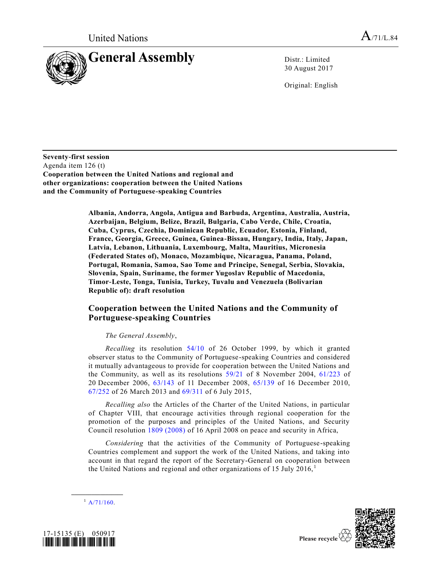

30 August 2017

Original: English

**Seventy-first session** Agenda item 126 (t) **Cooperation between the United Nations and regional and other organizations: cooperation between the United Nations and the Community of Portuguese-speaking Countries**

> **Albania, Andorra, Angola, Antigua and Barbuda, Argentina, Australia, Austria, Azerbaijan, Belgium, Belize, Brazil, Bulgaria, Cabo Verde, Chile, Croatia, Cuba, Cyprus, Czechia, Dominican Republic, Ecuador, Estonia, Finland, France, Georgia, Greece, Guinea, Guinea-Bissau, Hungary, India, Italy, Japan, Latvia, Lebanon, Lithuania, Luxembourg, Malta, Mauritius, Micronesia (Federated States of), Monaco, Mozambique, Nicaragua, Panama, Poland, Portugal, Romania, Samoa, Sao Tome and Principe, Senegal, Serbia, Slovakia, Slovenia, Spain, Suriname, the former Yugoslav Republic of Macedonia, Timor-Leste, Tonga, Tunisia, Turkey, Tuvalu and Venezuela (Bolivarian Republic of): draft resolution**

## **Cooperation between the United Nations and the Community of Portuguese-speaking Countries**

## *The General Assembly*,

*Recalling* its resolution [54/10](https://undocs.org/A/RES/54/10) of 26 October 1999, by which it granted observer status to the Community of Portuguese-speaking Countries and considered it mutually advantageous to provide for cooperation between the United Nations and the Community, as well as its resolutions [59/21](https://undocs.org/A/RES/59/21) of 8 November 2004, [61/223](https://undocs.org/A/RES/61/223) of 20 December 2006, [63/143](https://undocs.org/A/RES/63/143) of 11 December 2008, [65/139](https://undocs.org/A/RES/65/139) of 16 December 2010, [67/252](https://undocs.org/A/RES/67/252) of 26 March 2013 and [69/311](https://undocs.org/A/RES/69/311) of 6 July 2015,

*Recalling also* the Articles of the Charter of the United Nations, in particular of Chapter VIII, that encourage activities through regional cooperation for the promotion of the purposes and principles of the United Nations, and Security Council resolution [1809 \(2008\)](https://undocs.org/S/RES/1809(2008)) of 16 April 2008 on peace and security in Africa,

*Considering* that the activities of the Community of Portuguese-speaking Countries complement and support the work of the United Nations, and taking into account in that regard the report of the Secretary-General on cooperation between the United Nations and regional and other organizations of 15 July 2016, $<sup>1</sup>$ </sup>

**\_\_\_\_\_\_\_\_\_\_\_\_\_\_\_\_\_\_**  $^{1}$  [A/71/160.](https://undocs.org/A/71/160)



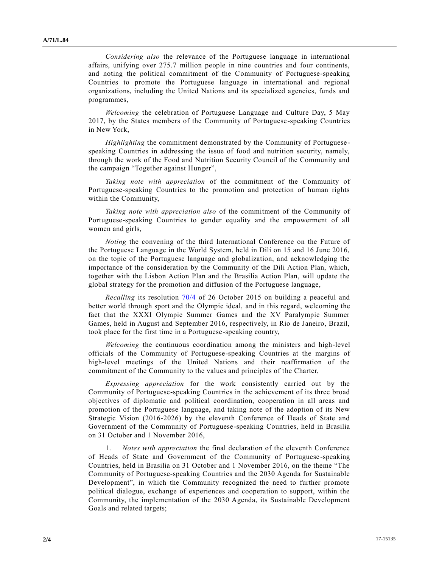*Considering also* the relevance of the Portuguese language in international affairs, unifying over 275.7 million people in nine countries and four continents, and noting the political commitment of the Community of Portuguese-speaking Countries to promote the Portuguese language in international and regional organizations, including the United Nations and its specialized agencies, funds and programmes,

*Welcoming* the celebration of Portuguese Language and Culture Day, 5 May 2017, by the States members of the Community of Portuguese -speaking Countries in New York,

*Highlighting* the commitment demonstrated by the Community of Portuguese speaking Countries in addressing the issue of food and nutrition security, namely, through the work of the Food and Nutrition Security Council of the Community and the campaign "Together against Hunger",

*Taking note with appreciation* of the commitment of the Community of Portuguese-speaking Countries to the promotion and protection of human rights within the Community,

*Taking note with appreciation also* of the commitment of the Community of Portuguese-speaking Countries to gender equality and the empowerment of all women and girls,

*Noting* the convening of the third International Conference on the Future of the Portuguese Language in the World System, held in Dili on 15 and 16 June 2016, on the topic of the Portuguese language and globalization, and acknowledging the importance of the consideration by the Community of the Dili Action Plan, which, together with the Lisbon Action Plan and the Brasilia Action Plan, will update the global strategy for the promotion and diffusion of the Portuguese language,

*Recalling* its resolution [70/4](https://undocs.org/A/RES/70/4) of 26 October 2015 on building a peaceful and better world through sport and the Olympic ideal, and in this regard, welcoming the fact that the XXXI Olympic Summer Games and the XV Paralympic Summer Games, held in August and September 2016, respectively, in Rio de Janeiro, Brazil, took place for the first time in a Portuguese-speaking country,

*Welcoming* the continuous coordination among the ministers and high-level officials of the Community of Portuguese-speaking Countries at the margins of high-level meetings of the United Nations and their reaffirmation of the commitment of the Community to the values and principles of the Charter,

*Expressing appreciation* for the work consistently carried out by the Community of Portuguese-speaking Countries in the achievement of its three broad objectives of diplomatic and political coordination, cooperation in all areas and promotion of the Portuguese language, and taking note of the adoption of its New Strategic Vision (2016-2026) by the eleventh Conference of Heads of State and Government of the Community of Portuguese-speaking Countries, held in Brasilia on 31 October and 1 November 2016,

1. *Notes with appreciation* the final declaration of the eleventh Conference of Heads of State and Government of the Community of Portuguese -speaking Countries, held in Brasilia on 31 October and 1 November 2016, on the theme "The Community of Portuguese-speaking Countries and the 2030 Agenda for Sustainable Development", in which the Community recognized the need to further promote political dialogue, exchange of experiences and cooperation to support, within the Community, the implementation of the 2030 Agenda, its Sustainable Development Goals and related targets;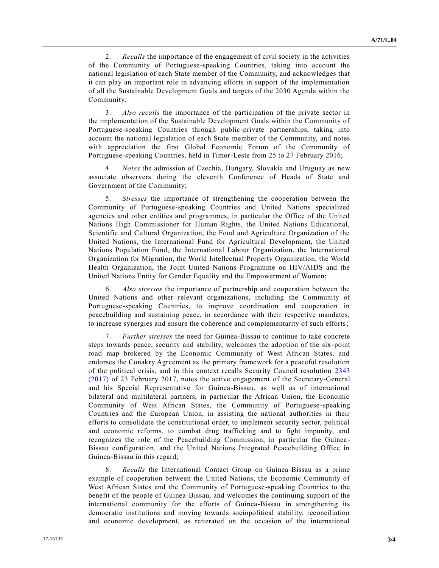2. *Recalls* the importance of the engagement of civil society in the activities of the Community of Portuguese-speaking Countries, taking into account the national legislation of each State member of the Community, and acknowledges that it can play an important role in advancing efforts in support of the implementation of all the Sustainable Development Goals and targets of the 2030 Agenda within the Community;

3. *Also recalls* the importance of the participation of the private sector in the implementation of the Sustainable Development Goals within the Community of Portuguese-speaking Countries through public-private partnerships, taking into account the national legislation of each State member of the Community, and notes with appreciation the first Global Economic Forum of the Community of Portuguese-speaking Countries, held in Timor-Leste from 25 to 27 February 2016;

4. *Notes* the admission of Czechia, Hungary, Slovakia and Uruguay as new associate observers during the eleventh Conference of Heads of State and Government of the Community;

5. *Stresses* the importance of strengthening the cooperation between the Community of Portuguese-speaking Countries and United Nations specialized agencies and other entities and programmes, in particular the Office of the United Nations High Commissioner for Human Rights, the United Nations Educational, Scientific and Cultural Organization, the Food and Agriculture Organization of the United Nations, the International Fund for Agricultural Development, the United Nations Population Fund, the International Labour Organization, the International Organization for Migration, the World Intellectual Property Organization, the World Health Organization, the Joint United Nations Programme on HIV/AIDS and the United Nations Entity for Gender Equality and the Empowerment of Women;

6. *Also stresses* the importance of partnership and cooperation between the United Nations and other relevant organizations, including the Community of Portuguese-speaking Countries, to improve coordination and cooperation in peacebuilding and sustaining peace, in accordance with their respective mandates, to increase synergies and ensure the coherence and complementarity of such efforts;

7. *Further stresses* the need for Guinea-Bissau to continue to take concrete steps towards peace, security and stability, welcomes the adoption of the six-point road map brokered by the Economic Community of West African States, and endorses the Conakry Agreement as the primary framework for a peaceful resolution of the political crisis, and in this context recalls Security Council resolution [2343](https://undocs.org/S/RES/2343(2017))  [\(2017\)](https://undocs.org/S/RES/2343(2017)) of 23 February 2017, notes the active engagement of the Secretary-General and his Special Representative for Guinea-Bissau, as well as of international bilateral and multilateral partners, in particular the African Union, the Economic Community of West African States, the Community of Portuguese -speaking Countries and the European Union, in assisting the national authorities in their efforts to consolidate the constitutional order, to implement security sector, political and economic reforms, to combat drug trafficking and to fight impunity, and recognizes the role of the Peacebuilding Commission, in particular the Guinea - Bissau configuration, and the United Nations Integrated Peacebuilding Office in Guinea-Bissau in this regard;

8. *Recalls* the International Contact Group on Guinea-Bissau as a prime example of cooperation between the United Nations, the Economic Community of West African States and the Community of Portuguese-speaking Countries to the benefit of the people of Guinea-Bissau, and welcomes the continuing support of the international community for the efforts of Guinea-Bissau in strengthening its democratic institutions and moving towards sociopolitical stability, reconciliation and economic development, as reiterated on the occasion of the international